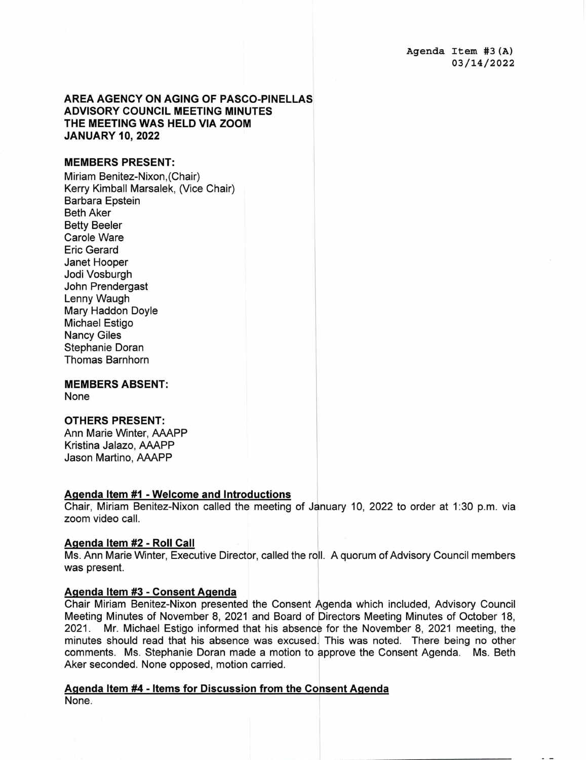Agenda Item #3(A) 03/14/2 022

# **AREA AGENCY ON AGING OF PASCO-PINELLAS ADVISORY COUNCIL MEETING MINUTES THE MEETING WAS HELD VIA ZOOM JANUARY 10, 2022**

#### **MEMBERS PRESENT:**

Miriam Benitez-Nixon,(Chair) Kerry Kimball Marsalek, (Vice Chair) Barbara Epstein Beth Aker Betty Beeler Carole Ware Eric Gerard Janet Hooper Jodi Vosburgh John Prendergast Lenny Waugh Mary Haddon Doyle Michael Estigo Nancy Giles Stephanie Doran Thomas Barnhorn

**MEMBERS ABSENT:**  None

### **OTHERS PRESENT:**

Ann Marie Winter, AAAPP Kristina Jalazo, AAAPP Jason Martino, AAAPP

#### **Agenda Item #1 - Welcome and Introductions**

Chair, Miriam Benitez-Nixon called the meeting of January 10, 2022 to order at 1:30 p.m. via zoom video call.

# **Aqenda Item #2 - Roll Call**

Ms. Ann Marie Winter, Executive Director, called the roll. A quorum of Advisory Council members was present.

#### **Agenda Item #3 - Consent Agenda**

Chair Miriam Benitez-Nixon presented the Consent Agenda which included, Advisory Council Meeting Minutes of November 8, 2021 and Board of Directors Meeting Minutes of October 18, 2021. Mr. Michael Estigo informed that his absence for the November 8, 2021 meeting, the minutes should read that his absence was excused. This was noted. There being no other comments. Ms. Stephanie Doran made a motion to approve the Consent Agenda. Ms. Beth Aker seconded. None opposed, motion carried.

#### **Agenda Item #4** - **Items for Discussion from the Consent Agenda**  None.